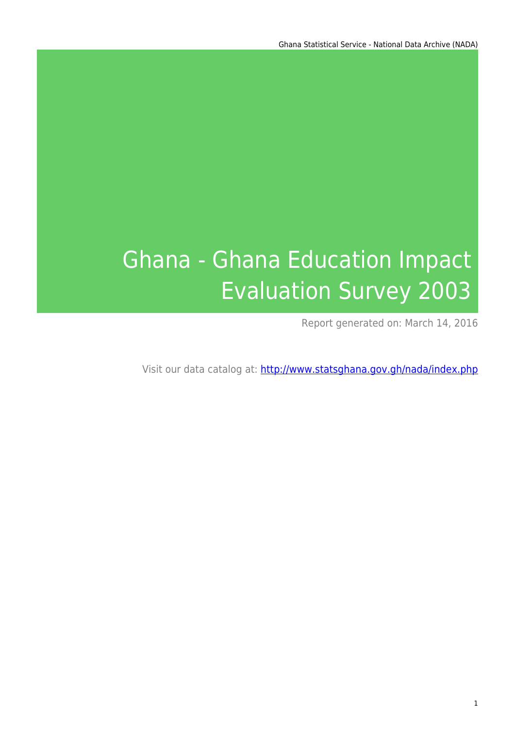# Ghana - Ghana Education Impact Evaluation Survey 2003

Report generated on: March 14, 2016

Visit our data catalog at: http://www.statsghana.gov.gh/nada/index.php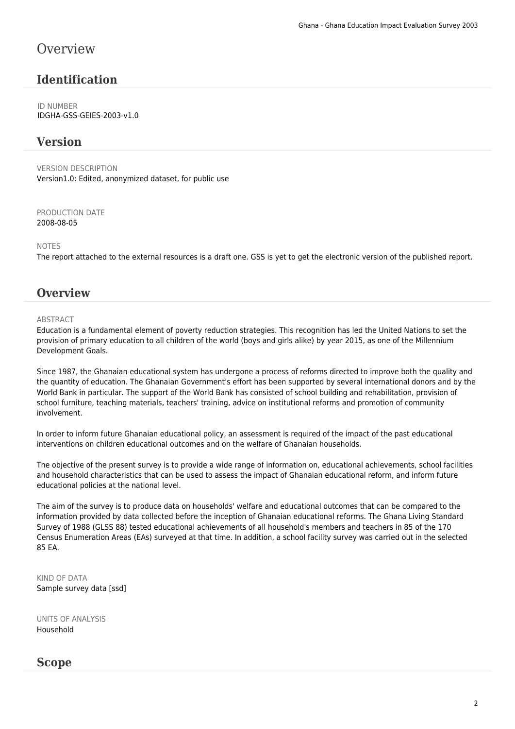## **Overview**

## **Identification**

ID NUMBER IDGHA-GSS-GEIES-2003-v1.0

#### **Version**

VERSION DESCRIPTION Version1.0: Edited, anonymized dataset, for public use

PRODUCTION DATE 2008-08-05

NOTES

The report attached to the external resources is a draft one. GSS is yet to get the electronic version of the published report.

#### **Overview**

#### **ABSTRACT**

Education is a fundamental element of poverty reduction strategies. This recognition has led the United Nations to set the provision of primary education to all children of the world (boys and girls alike) by year 2015, as one of the Millennium Development Goals.

Since 1987, the Ghanaian educational system has undergone a process of reforms directed to improve both the quality and the quantity of education. The Ghanaian Government's effort has been supported by several international donors and by the World Bank in particular. The support of the World Bank has consisted of school building and rehabilitation, provision of school furniture, teaching materials, teachers' training, advice on institutional reforms and promotion of community involvement.

In order to inform future Ghanaian educational policy, an assessment is required of the impact of the past educational interventions on children educational outcomes and on the welfare of Ghanaian households.

The objective of the present survey is to provide a wide range of information on, educational achievements, school facilities and household characteristics that can be used to assess the impact of Ghanaian educational reform, and inform future educational policies at the national level.

The aim of the survey is to produce data on households' welfare and educational outcomes that can be compared to the information provided by data collected before the inception of Ghanaian educational reforms. The Ghana Living Standard Survey of 1988 (GLSS 88) tested educational achievements of all household's members and teachers in 85 of the 170 Census Enumeration Areas (EAs) surveyed at that time. In addition, a school facility survey was carried out in the selected 85 EA.

KIND OF DATA Sample survey data [ssd]

UNITS OF ANALYSIS Household

#### **Scope**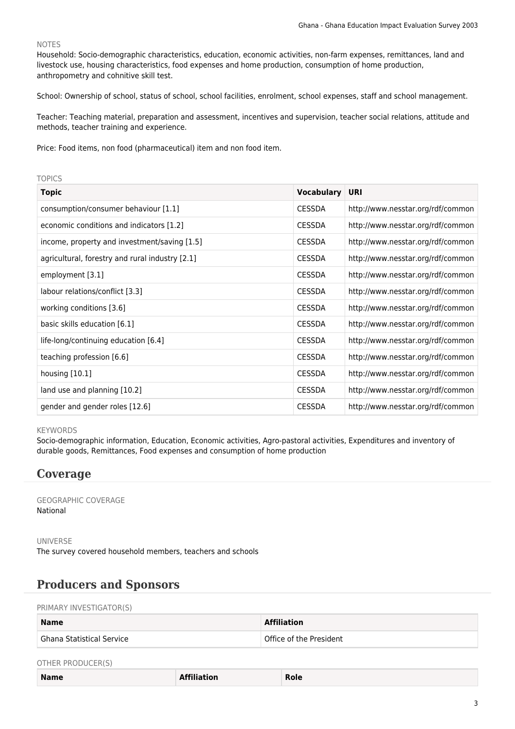#### NOTES

Household: Socio-demographic characteristics, education, economic activities, non-farm expenses, remittances, land and livestock use, housing characteristics, food expenses and home production, consumption of home production, anthropometry and cohnitive skill test.

School: Ownership of school, status of school, school facilities, enrolment, school expenses, staff and school management.

Teacher: Teaching material, preparation and assessment, incentives and supervision, teacher social relations, attitude and methods, teacher training and experience.

Price: Food items, non food (pharmaceutical) item and non food item.

#### TOPICS

| <b>Topic</b>                                    | <b>Vocabulary</b> | URI                               |
|-------------------------------------------------|-------------------|-----------------------------------|
| consumption/consumer behaviour [1.1]            | <b>CESSDA</b>     | http://www.nesstar.org/rdf/common |
| economic conditions and indicators [1.2]        | <b>CESSDA</b>     | http://www.nesstar.org/rdf/common |
| income, property and investment/saving [1.5]    | <b>CESSDA</b>     | http://www.nesstar.org/rdf/common |
| agricultural, forestry and rural industry [2.1] | <b>CESSDA</b>     | http://www.nesstar.org/rdf/common |
| employment [3.1]                                | <b>CESSDA</b>     | http://www.nesstar.org/rdf/common |
| labour relations/conflict [3.3]                 | <b>CESSDA</b>     | http://www.nesstar.org/rdf/common |
| working conditions [3.6]                        | <b>CESSDA</b>     | http://www.nesstar.org/rdf/common |
| basic skills education [6.1]                    | <b>CESSDA</b>     | http://www.nesstar.org/rdf/common |
| life-long/continuing education [6.4]            | <b>CESSDA</b>     | http://www.nesstar.org/rdf/common |
| teaching profession [6.6]                       | <b>CESSDA</b>     | http://www.nesstar.org/rdf/common |
| housing $[10.1]$                                | <b>CESSDA</b>     | http://www.nesstar.org/rdf/common |
| land use and planning [10.2]                    | <b>CESSDA</b>     | http://www.nesstar.org/rdf/common |
| gender and gender roles [12.6]                  | <b>CESSDA</b>     | http://www.nesstar.org/rdf/common |

#### KEYWORDS

Socio-demographic information, Education, Economic activities, Agro-pastoral activities, Expenditures and inventory of durable goods, Remittances, Food expenses and consumption of home production

#### **Coverage**

GEOGRAPHIC COVERAGE National

UNIVERSE The survey covered household members, teachers and schools

#### **Producers and Sponsors**

PRIMARY INVESTIGATOR(S)

| <b>Name</b>               | <b>Affiliation</b>      |
|---------------------------|-------------------------|
| Ghana Statistical Service | Office of the President |

#### OTHER PRODUCER(S)

| <b>Name</b> | <b>Examination</b><br>the contract of the contract of the contract of the contract of the contract of the contract of the contract of | -<br><b>Role</b><br>____ |
|-------------|---------------------------------------------------------------------------------------------------------------------------------------|--------------------------|
|-------------|---------------------------------------------------------------------------------------------------------------------------------------|--------------------------|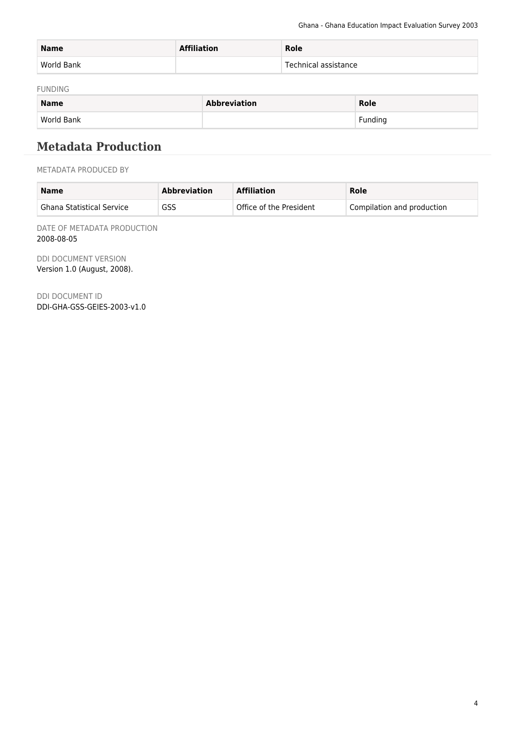| <b>Name</b> | <b>Affiliation</b> | Role                 |
|-------------|--------------------|----------------------|
| World Bank  |                    | Technical assistance |

FUNDING

| <b>Name</b> | <b>Abbreviation</b> | <b>Role</b> |
|-------------|---------------------|-------------|
| World Bank  |                     | Funding     |

## **Metadata Production**

METADATA PRODUCED BY

| <b>Name</b>               | <b>Abbreviation</b> | <b>Affiliation</b>      | Role                       |
|---------------------------|---------------------|-------------------------|----------------------------|
| Ghana Statistical Service | GSS                 | Office of the President | Compilation and production |

DATE OF METADATA PRODUCTION 2008-08-05

DDI DOCUMENT VERSION Version 1.0 (August, 2008).

DDI DOCUMENT ID DDI-GHA-GSS-GEIES-2003-v1.0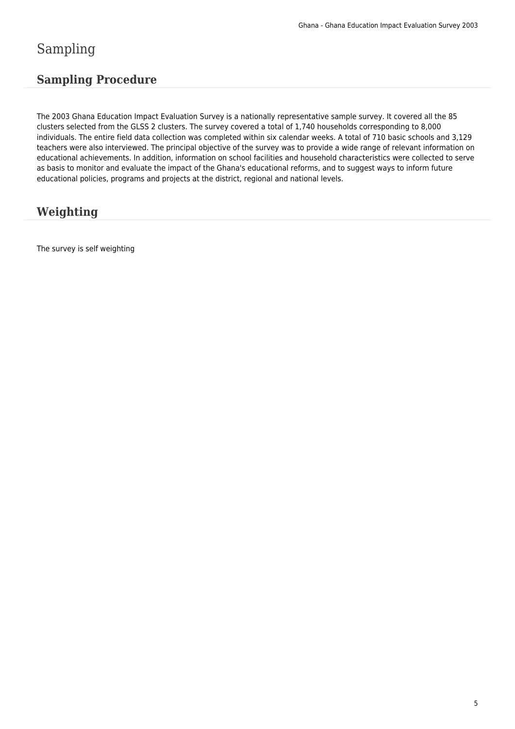# Sampling

## **Sampling Procedure**

The 2003 Ghana Education Impact Evaluation Survey is a nationally representative sample survey. It covered all the 85 clusters selected from the GLSS 2 clusters. The survey covered a total of 1,740 households corresponding to 8,000 individuals. The entire field data collection was completed within six calendar weeks. A total of 710 basic schools and 3,129 teachers were also interviewed. The principal objective of the survey was to provide a wide range of relevant information on educational achievements. In addition, information on school facilities and household characteristics were collected to serve as basis to monitor and evaluate the impact of the Ghana's educational reforms, and to suggest ways to inform future educational policies, programs and projects at the district, regional and national levels.

## **Weighting**

The survey is self weighting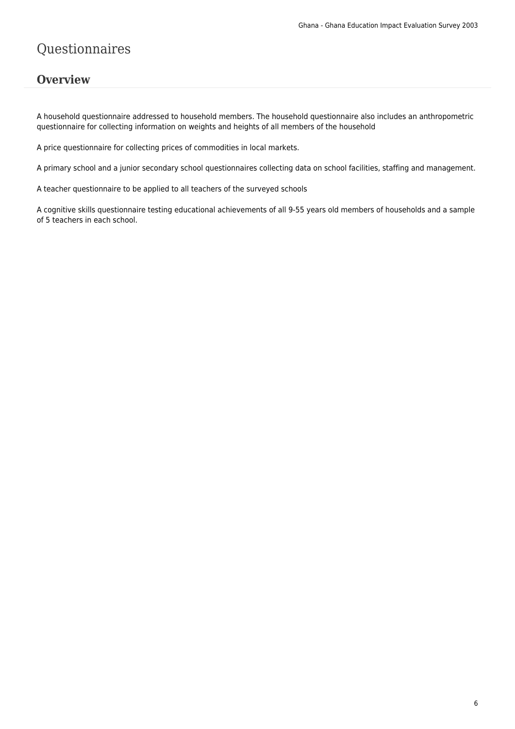# Questionnaires

#### **Overview**

A household questionnaire addressed to household members. The household questionnaire also includes an anthropometric questionnaire for collecting information on weights and heights of all members of the household

A price questionnaire for collecting prices of commodities in local markets.

A primary school and a junior secondary school questionnaires collecting data on school facilities, staffing and management.

A teacher questionnaire to be applied to all teachers of the surveyed schools

A cognitive skills questionnaire testing educational achievements of all 9-55 years old members of households and a sample of 5 teachers in each school.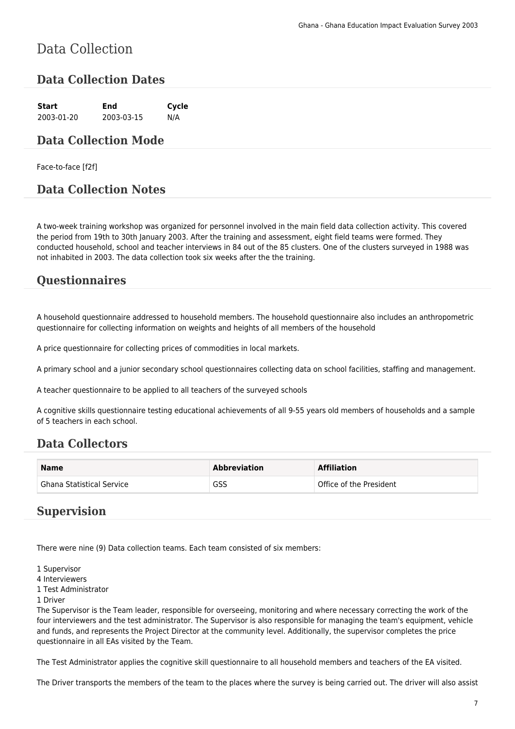# Data Collection

#### **Data Collection Dates**

**Start End Cycle** 2003-01-20 2003-03-15 N/A

#### **Data Collection Mode**

Face-to-face [f2f]

#### **Data Collection Notes**

A two-week training workshop was organized for personnel involved in the main field data collection activity. This covered the period from 19th to 30th January 2003. After the training and assessment, eight field teams were formed. They conducted household, school and teacher interviews in 84 out of the 85 clusters. One of the clusters surveyed in 1988 was not inhabited in 2003. The data collection took six weeks after the the training.

#### **Questionnaires**

A household questionnaire addressed to household members. The household questionnaire also includes an anthropometric questionnaire for collecting information on weights and heights of all members of the household

A price questionnaire for collecting prices of commodities in local markets.

A primary school and a junior secondary school questionnaires collecting data on school facilities, staffing and management.

A teacher questionnaire to be applied to all teachers of the surveyed schools

A cognitive skills questionnaire testing educational achievements of all 9-55 years old members of households and a sample of 5 teachers in each school.

#### **Data Collectors**

| <b>Name</b>                      | <b>Abbreviation</b> | <b>Affiliation</b>      |
|----------------------------------|---------------------|-------------------------|
| <b>Ghana Statistical Service</b> | GSS                 | Office of the President |

#### **Supervision**

There were nine (9) Data collection teams. Each team consisted of six members:

1 Supervisor

4 Interviewers

1 Test Administrator

1 Driver

The Supervisor is the Team leader, responsible for overseeing, monitoring and where necessary correcting the work of the four interviewers and the test administrator. The Supervisor is also responsible for managing the team's equipment, vehicle and funds, and represents the Project Director at the community level. Additionally, the supervisor completes the price questionnaire in all EAs visited by the Team.

The Test Administrator applies the cognitive skill questionnaire to all household members and teachers of the EA visited.

The Driver transports the members of the team to the places where the survey is being carried out. The driver will also assist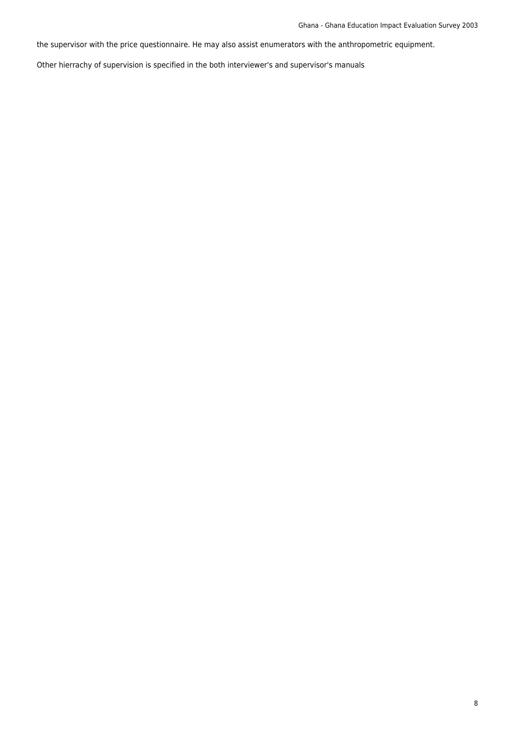the supervisor with the price questionnaire. He may also assist enumerators with the anthropometric equipment.

Other hierrachy of supervision is specified in the both interviewer's and supervisor's manuals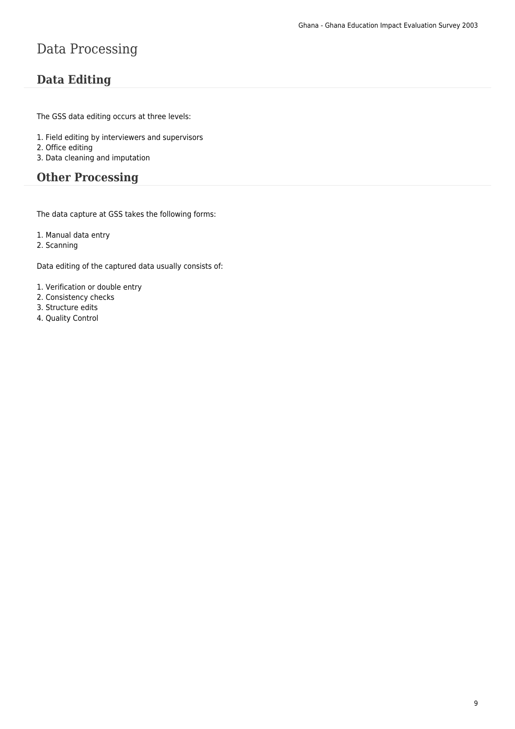# Data Processing

## **Data Editing**

The GSS data editing occurs at three levels:

- 1. Field editing by interviewers and supervisors
- 2. Office editing
- 3. Data cleaning and imputation

#### **Other Processing**

The data capture at GSS takes the following forms:

1. Manual data entry

2. Scanning

Data editing of the captured data usually consists of:

- 1. Verification or double entry
- 2. Consistency checks
- 3. Structure edits
- 4. Quality Control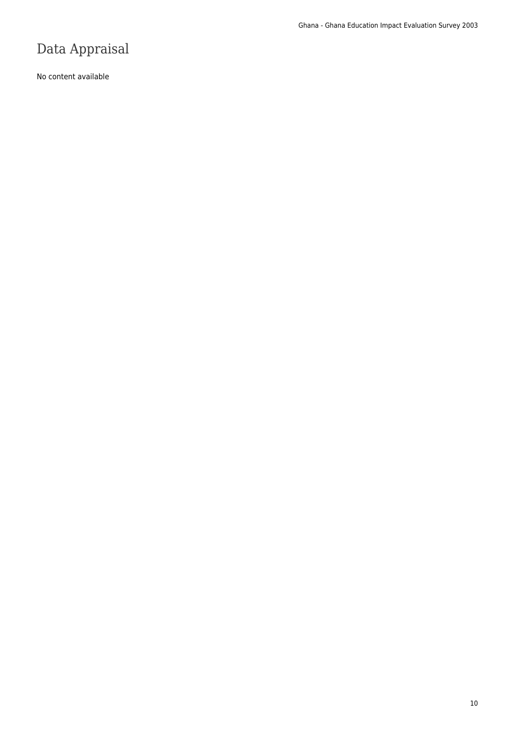# Data Appraisal

No content available